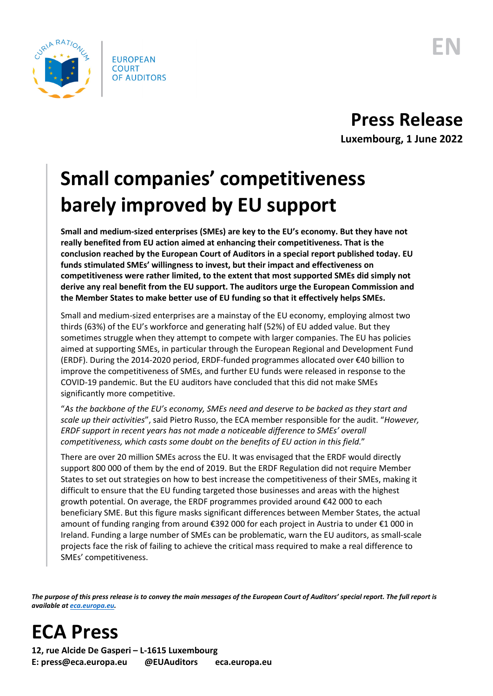

## **Small companies' competitiveness barely improved by EU support**

**Small and medium-sized enterprises (SMEs) are key to the EU's economy. But they have not really benefited from EU action aimed at enhancing their competitiveness. That is the conclusion reached by the European Court of Auditors in a special report published today. EU funds stimulated SMEs' willingness to invest, but their impact and effectiveness on competitiveness were rather limited, to the extent that most supported SMEs did simply not derive any real benefit from the EU support. The auditors urge the European Commission and the Member States to make better use of EU funding so that it effectively helps SMEs.**

Small and medium-sized enterprises are a mainstay of the EU economy, employing almost two thirds (63%) of the EU's workforce and generating half (52%) of EU added value. But they sometimes struggle when they attempt to compete with larger companies. The EU has policies aimed at supporting SMEs, in particular through the European Regional and Development Fund (ERDF). During the 2014-2020 period, ERDF-funded programmes allocated over €40 billion to improve the competitiveness of SMEs, and further EU funds were released in response to the COVID-19 pandemic. But the EU auditors have concluded that this did not make SMEs significantly more competitive.

"*As the backbone of the EU's economy, SMEs need and deserve to be backed as they start and scale up their activities*", said Pietro Russo, the ECA member responsible for the audit. "*However, ERDF support in recent years has not made a noticeable difference to SMEs' overall competitiveness, which casts some doubt on the benefits of EU action in this field.*"

There are over 20 million SMEs across the EU. It was envisaged that the ERDF would directly support 800 000 of them by the end of 2019. But the ERDF Regulation did not require Member States to set out strategies on how to best increase the competitiveness of their SMEs, making it difficult to ensure that the EU funding targeted those businesses and areas with the highest growth potential. On average, the ERDF programmes provided around €42 000 to each beneficiary SME. But this figure masks significant differences between Member States, the actual amount of funding ranging from around €392 000 for each project in Austria to under €1 000 in Ireland. Funding a large number of SMEs can be problematic, warn the EU auditors, as small-scale projects face the risk of failing to achieve the critical mass required to make a real difference to SMEs' competitiveness.

*The purpose of this press release is to convey the main messages of the European Court of Auditors' special report. The full report is available a[t eca.europa.eu.](https://www.eca.europa.eu/)*

**ECA Press**

**12, rue Alcide De Gasperi – L-1615 Luxembourg E: press@eca.europa.eu @EUAuditors eca.europa.eu**